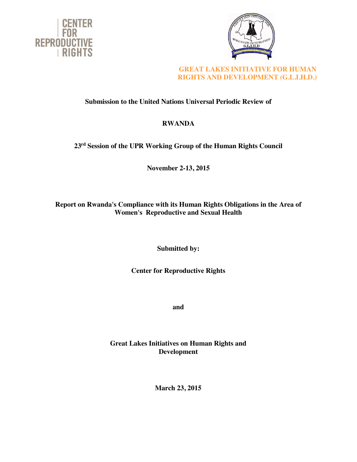



## **GREAT LAKES INITIATIVE FOR HUMAN RIGHTS AND DEVELOPMENT (G.L.I.H.D.)**

# **Submission to the United Nations Universal Periodic Review of**

## **RWANDA**

# **23rd Session of the UPR Working Group of the Human Rights Council**

**November 2-13, 2015**

## **Report on Rwanda's Compliance with its Human Rights Obligations in the Area of Women's Reproductive and Sexual Health**

**Submitted by:**

## **Center for Reproductive Rights**

**and** 

## **Great Lakes Initiatives on Human Rights and Development**

**March 23, 2015**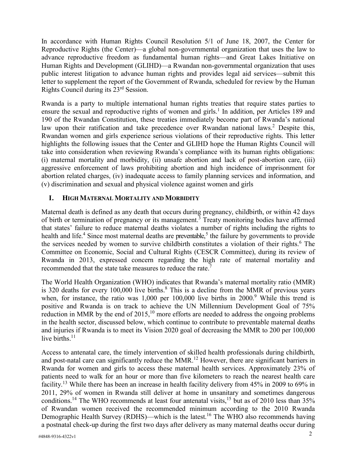In accordance with Human Rights Council Resolution 5/1 of June 18, 2007, the Center for Reproductive Rights (the Center)—a global non-governmental organization that uses the law to advance reproductive freedom as fundamental human rights—and Great Lakes Initiative on Human Rights and Development (GLIHD)—a Rwandan non-governmental organization that uses public interest litigation to advance human rights and provides legal aid services—submit this letter to supplement the report of the Government of Rwanda, scheduled for review by the Human Rights Council during its 23rd Session.

Rwanda is a party to multiple international human rights treaties that require states parties to ensure the sexual and reproductive rights of women and girls.<sup>1</sup> In addition, per Articles 189 and 190 of the Rwandan Constitution, these treaties immediately become part of Rwanda's national law upon their ratification and take precedence over Rwandan national laws.<sup>2</sup> Despite this, Rwandan women and girls experience serious violations of their reproductive rights. This letter highlights the following issues that the Center and GLIHD hope the Human Rights Council will take into consideration when reviewing Rwanda's compliance with its human rights obligations: (i) maternal mortality and morbidity, (ii) unsafe abortion and lack of post-abortion care, (iii) aggressive enforcement of laws prohibiting abortion and high incidence of imprisonment for abortion related charges, (iv) inadequate access to family planning services and information, and (v) discrimination and sexual and physical violence against women and girls

### **I. HIGH MATERNAL MORTALITY AND MORBIDITY**

Maternal death is defined as any death that occurs during pregnancy, childbirth, or within 42 days of birth or termination of pregnancy or its management.<sup>3</sup> Treaty monitoring bodies have affirmed that states' failure to reduce maternal deaths violates a number of rights including the rights to health and life.<sup>4</sup> Since most maternal deaths are preventable,<sup>5</sup> the failure by governments to provide the services needed by women to survive childbirth constitutes a violation of their rights.<sup>6</sup> The Committee on Economic, Social and Cultural Rights (CESCR Committee), during its review of Rwanda in 2013, expressed concern regarding the high rate of maternal mortality and recommended that the state take measures to reduce the rate.<sup>7</sup>

The World Health Organization (WHO) indicates that Rwanda's maternal mortality ratio (MMR) is 320 deaths for every 100,000 live births.<sup>8</sup> This is a decline from the MMR of previous years when, for instance, the ratio was  $1,000$  per  $100,000$  live births in  $2000$ .<sup>9</sup> While this trend is positive and Rwanda is on track to achieve the UN Millennium Development Goal of 75% reduction in MMR by the end of  $2015$ , <sup>10</sup> more efforts are needed to address the ongoing problems in the health sector, discussed below, which continue to contribute to preventable maternal deaths and injuries if Rwanda is to meet its Vision 2020 goal of decreasing the MMR to 200 per 100,000 live births $11$ 

Access to antenatal care, the timely intervention of skilled health professionals during childbirth, and post-natal care can significantly reduce the MMR.<sup>12</sup> However, there are significant barriers in Rwanda for women and girls to access these maternal health services. Approximately 23% of patients need to walk for an hour or more than five kilometers to reach the nearest health care facility.<sup>13</sup> While there has been an increase in health facility delivery from 45% in 2009 to 69% in 2011, 29% of women in Rwanda still deliver at home in unsanitary and sometimes dangerous conditions.<sup>14</sup> The WHO recommends at least four antenatal visits,<sup>15</sup> but as of 2010 less than 35% of Rwandan women received the recommended minimum according to the 2010 Rwanda Demographic Health Survey (RDHS)—which is the latest.<sup>16</sup> The WHO also recommends having a postnatal check-up during the first two days after delivery as many maternal deaths occur during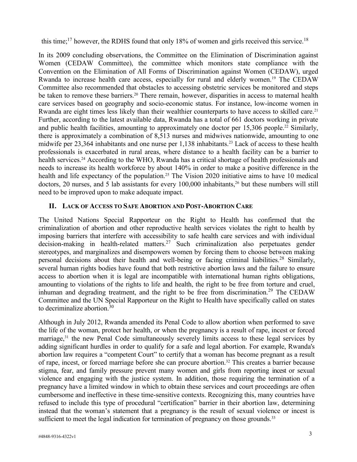this time;<sup>17</sup> however, the RDHS found that only 18% of women and girls received this service.<sup>18</sup>

In its 2009 concluding observations, the Committee on the Elimination of Discrimination against Women (CEDAW Committee), the committee which monitors state compliance with the Convention on the Elimination of All Forms of Discrimination against Women (CEDAW), urged Rwanda to increase health care access, especially for rural and elderly women.<sup>19</sup> The CEDAW Committee also recommended that obstacles to accessing obstetric services be monitored and steps be taken to remove these barriers.<sup>20</sup> There remain, however, disparities in access to maternal health care services based on geography and socio-economic status. For instance, low-income women in Rwanda are eight times less likely than their wealthier counterparts to have access to skilled care.<sup>21</sup> Further, according to the latest available data, Rwanda has a total of 661 doctors working in private and public health facilities, amounting to approximately one doctor per 15,306 people.<sup>22</sup> Similarly, there is approximately a combination of 8,513 nurses and midwives nationwide, amounting to one midwife per 23,364 inhabitants and one nurse per 1,138 inhabitants.<sup>23</sup> Lack of access to these health professionals is exacerbated in rural areas, where distance to a health facility can be a barrier to health services.<sup>24</sup> According to the WHO, Rwanda has a critical shortage of health professionals and needs to increase its health workforce by about 140% in order to make a positive difference in the health and life expectancy of the population.<sup>25</sup> The Vision 2020 initiative aims to have 10 medical doctors, 20 nurses, and 5 lab assistants for every  $100,000$  inhabitants,  $26$  but these numbers will still need to be improved upon to make adequate impact.

### **II. LACK OF ACCESS TO SAFE ABORTION AND POST-ABORTION CARE**

The United Nations Special Rapporteur on the Right to Health has confirmed that the criminalization of abortion and other reproductive health services violates the right to health by imposing barriers that interfere with accessibility to safe health care services and with individual decision-making in health-related matters.<sup>27</sup> Such criminalization also perpetuates gender stereotypes, and marginalizes and disempowers women by forcing them to choose between making personal decisions about their health and well-being or facing criminal liabilities.<sup>28</sup> Similarly, several human rights bodies have found that both restrictive abortion laws and the failure to ensure access to abortion when it is legal are incompatible with international human rights obligations, amounting to violations of the rights to life and health, the right to be free from torture and cruel, inhuman and degrading treatment, and the right to be free from discrimination.<sup>29</sup> The CEDAW Committee and the UN Special Rapporteur on the Right to Health have specifically called on states to decriminalize abortion. $30$ 

Although in July 2012, Rwanda amended its Penal Code to allow abortion when performed to save the life of the woman, protect her health, or when the pregnancy is a result of rape, incest or forced marriage,<sup>31</sup> the new Penal Code simultaneously severely limits access to these legal services by adding significant hurdles in order to qualify for a safe and legal abortion. For example, Rwanda's abortion law requires a "competent Court" to certify that a woman has become pregnant as a result of rape, incest, or forced marriage before she can procure abortion.32 This creates a barrier because stigma, fear, and family pressure prevent many women and girls from reporting incest or sexual violence and engaging with the justice system. In addition, those requiring the termination of a pregnancy have a limited window in which to obtain these services and court proceedings are often cumbersome and ineffective in these time-sensitive contexts. Recognizing this, many countries have refused to include this type of procedural "certification" barrier in their abortion law, determining instead that the woman's statement that a pregnancy is the result of sexual violence or incest is sufficient to meet the legal indication for termination of pregnancy on those grounds.<sup>33</sup>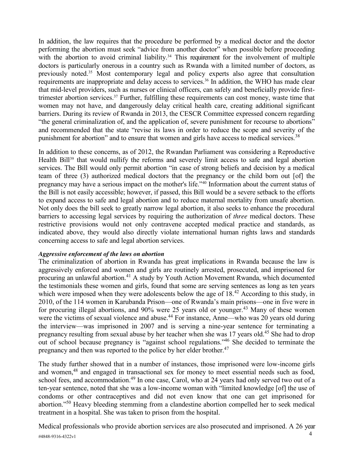In addition, the law requires that the procedure be performed by a medical doctor and the doctor performing the abortion must seek "advice from another doctor" when possible before proceeding with the abortion to avoid criminal liability.<sup>34</sup> This requirement for the involvement of multiple doctors is particularly onerous in a country such as Rwanda with a limited number of doctors, as previously noted.35 Most contemporary legal and policy experts also agree that consultation requirements are inappropriate and delay access to services.36 In addition, the WHO has made clear that mid-level providers, such as nurses or clinical officers, can safely and beneficially provide firsttrimester abortion services.37 Further, fulfilling these requirements can cost money, waste time that women may not have, and dangerously delay critical health care, creating additional significant barriers. During its review of Rwanda in 2013, the CESCR Committee expressed concern regarding "the general criminalization of, and the application of, severe punishment for recourse to abortions" and recommended that the state "revise its laws in order to reduce the scope and severity of the punishment for abortion" and to ensure that women and girls have access to medical services.<sup>38</sup>

In addition to these concerns, as of 2012, the Rwandan Parliament was considering a Reproductive Health Bill<sup>39</sup> that would nullify the reforms and severely limit access to safe and legal abortion services. The Bill would only permit abortion "in case of strong beliefs and decision by a medical team of three (3) authorized medical doctors that the pregnancy or the child born out [of] the pregnancy may have a serious impact on the mother's life."<sup>40</sup> Information about the current status of the Bill is not easily accessible; however, if passed, this Bill would be a severe setback to the efforts to expand access to safe and legal abortion and to reduce maternal mortality from unsafe abortion. Not only does the bill seek to greatly narrow legal abortion, it also seeks to enhance the procedural barriers to accessing legal services by requiring the authorization of *three* medical doctors. These restrictive provisions would not only contravene accepted medical practice and standards, as indicated above, they would also directly violate international human rights laws and standards concerning access to safe and legal abortion services.

#### *Aggressive enforcement of the laws on abortion*

The criminalization of abortion in Rwanda has great implications in Rwanda because the law is aggressively enforced and women and girls are routinely arrested, prosecuted, and imprisoned for procuring an unlawful abortion.<sup>41</sup> A study by Youth Action Movement Rwanda, which documented the testimonials these women and girls, found that some are serving sentences as long as ten years which were imposed when they were adolescents below the age of 18.<sup>42</sup> According to this study, in 2010, of the 114 women in Karubanda Prison—one of Rwanda's main prisons—one in five were in for procuring illegal abortions, and 90% were 25 years old or younger.<sup>43</sup> Many of these women were the victims of sexual violence and abuse.<sup>44</sup> For instance, Anne—who was 20 years old during the interview—was imprisoned in 2007 and is serving a nine-year sentence for terminating a pregnancy resulting from sexual abuse by her teacher when she was 17 years old.<sup>45</sup> She had to drop out of school because pregnancy is "against school regulations."<sup>46</sup> She decided to terminate the pregnancy and then was reported to the police by her elder brother.47

The study further showed that in a number of instances, those imprisoned were low-income girls and women,<sup>48</sup> and engaged in transactional sex for money to meet essential needs such as food, school fees, and accommodation.<sup>49</sup> In one case, Carol, who at 24 years had only served two out of a ten-year sentence, noted that she was a low-income woman with "limited knowledge [of] the use of condoms or other contraceptives and did not even know that one can get imprisoned for abortion."<sup>50</sup> Heavy bleeding stemming from a clandestine abortion compelled her to seek medical treatment in a hospital. She was taken to prison from the hospital.

<sup>4</sup> #4848-9316-4322v1 Medical professionals who provide abortion services are also prosecuted and imprisoned. A 26 year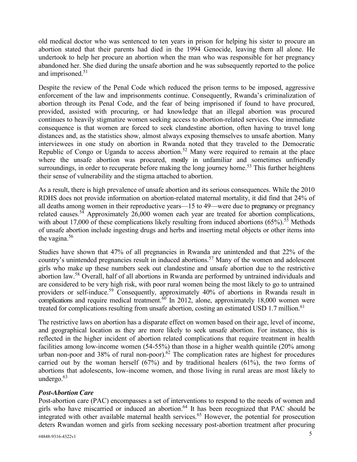old medical doctor who was sentenced to ten years in prison for helping his sister to procure an abortion stated that their parents had died in the 1994 Genocide, leaving them all alone. He undertook to help her procure an abortion when the man who was responsible for her pregnancy abandoned her. She died during the unsafe abortion and he was subsequently reported to the police and imprisoned.<sup>51</sup>

Despite the review of the Penal Code which reduced the prison terms to be imposed, aggressive enforcement of the law and imprisonments continue. Consequently, Rwanda's criminalization of abortion through its Penal Code, and the fear of being imprisoned if found to have procured, provided, assisted with procuring, or had knowledge that an illegal abortion was procured continues to heavily stigmatize women seeking access to abortion-related services. One immediate consequence is that women are forced to seek clandestine abortion, often having to travel long distances and, as the statistics show, almost always exposing themselves to unsafe abortion. Many interviewees in one study on abortion in Rwanda noted that they traveled to the Democratic Republic of Congo or Uganda to access abortion.<sup>52</sup> Many were required to remain at the place where the unsafe abortion was procured, mostly in unfamiliar and sometimes unfriendly surroundings, in order to recuperate before making the long journey home.<sup>53</sup> This further heightens their sense of vulnerability and the stigma attached to abortion.

As a result, there is high prevalence of unsafe abortion and its serious consequences. While the 2010 RDHS does not provide information on abortion-related maternal mortality, it did find that 24% of all deaths among women in their reproductive years—15 to 49—were due to pregnancy or pregnancy related causes.<sup>54</sup> Approximately 26,000 women each year are treated for abortion complications, with about 17,000 of these complications likely resulting from induced abortions  $(65\%)$ .<sup>55</sup> Methods of unsafe abortion include ingesting drugs and herbs and inserting metal objects or other items into the vagina. $56$ 

Studies have shown that 47% of all pregnancies in Rwanda are unintended and that 22% of the country's unintended pregnancies result in induced abortions.<sup>57</sup> Many of the women and adolescent girls who make up these numbers seek out clandestine and unsafe abortion due to the restrictive abortion law.<sup>58</sup> Overall, half of all abortions in Rwanda are performed by untrained individuals and are considered to be very high risk, with poor rural women being the most likely to go to untrained providers or self-induce.<sup>59</sup> Consequently, approximately 40% of abortions in Rwanda result in complications and require medical treatment.<sup>60</sup> In 2012, alone, approximately 18,000 women were treated for complications resulting from unsafe abortion, costing an estimated USD 1.7 million.<sup>61</sup>

The restrictive laws on abortion has a disparate effect on women based on their age, level of income, and geographical location as they are more likely to seek unsafe abortion. For instance, this is reflected in the higher incident of abortion related complications that require treatment in health facilities among low-income women (54-55%) than those in a higher wealth quintile (20% among urban non-poor and 38% of rural non-poor).<sup>62</sup> The complication rates are highest for procedures carried out by the woman herself (67%) and by traditional healers (61%), the two forms of abortions that adolescents, low-income women, and those living in rural areas are most likely to undergo. $63$ 

#### *Post-Abortion Care*

Post-abortion care (PAC) encompasses a set of interventions to respond to the needs of women and girls who have miscarried or induced an abortion.<sup>64</sup> It has been recognized that PAC should be integrated with other available maternal health services.<sup>65</sup> However, the potential for prosecution deters Rwandan women and girls from seeking necessary post-abortion treatment after procuring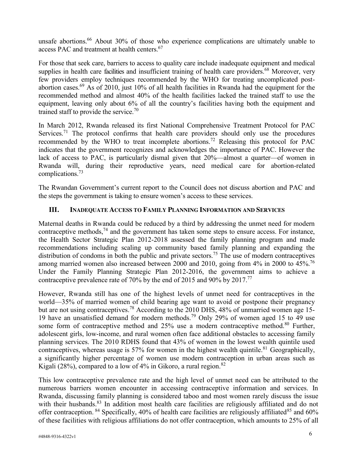unsafe abortions.<sup>66</sup> About 30% of those who experience complications are ultimately unable to access PAC and treatment at health centers.<sup>67</sup>

For those that seek care, barriers to access to quality care include inadequate equipment and medical supplies in health care facilities and insufficient training of health care providers.<sup>68</sup> Moreover, very few providers employ techniques recommended by the WHO for treating uncomplicated postabortion cases.<sup>69</sup> As of 2010, just 10% of all health facilities in Rwanda had the equipment for the recommended method and almost 40% of the health facilities lacked the trained staff to use the equipment, leaving only about 6% of all the country's facilities having both the equipment and trained staff to provide the service.<sup>70</sup>

In March 2012, Rwanda released its first National Comprehensive Treatment Protocol for PAC Services.<sup>71</sup> The protocol confirms that health care providers should only use the procedures recommended by the WHO to treat incomplete abortions.<sup>72</sup> Releasing this protocol for PAC indicates that the government recognizes and acknowledges the importance of PAC. However the lack of access to PAC, is particularly dismal given that 20%—almost a quarter—of women in Rwanda will, during their reproductive years, need medical care for abortion-related complications.73

The Rwandan Government's current report to the Council does not discuss abortion and PAC and the steps the government is taking to ensure women's access to these services.

### **III. INADEQUATE ACCESS TO FAMILY PLANNING INFORMATION AND SERVICES**

Maternal deaths in Rwanda could be reduced by a third by addressing the unmet need for modern contraceptive methods,  $74$  and the government has taken some steps to ensure access. For instance, the Health Sector Strategic Plan 2012-2018 assessed the family planning program and made recommendations including scaling up community based family planning and expanding the distribution of condoms in both the public and private sectors.<sup>75</sup> The use of modern contraceptives among married women also increased between 2000 and 2010, going from 4% in 2000 to 45%.<sup>76</sup> Under the Family Planning Strategic Plan 2012-2016, the government aims to achieve a contraceptive prevalence rate of 70% by the end of 2015 and 90% by 2017.<sup>77</sup>

However, Rwanda still has one of the highest levels of unmet need for contraceptives in the world—35% of married women of child bearing age want to avoid or postpone their pregnancy but are not using contraceptives.<sup>78</sup> According to the 2010 DHS, 48% of unmarried women age 15-19 have an unsatisfied demand for modern methods.<sup>79</sup> Only 29% of women aged 15 to 49 use some form of contraceptive method and  $25\%$  use a modern contraceptive method.<sup>80</sup> Further, adolescent girls, low-income, and rural women often face additional obstacles to accessing family planning services. The 2010 RDHS found that 43% of women in the lowest wealth quintile used contraceptives, whereas usage is 57% for women in the highest wealth quintile.<sup>81</sup> Geographically, a significantly higher percentage of women use modern contraception in urban areas such as Kigali (28%), compared to a low of  $4\%$  in Gikoro, a rural region.<sup>82</sup>

This low contraceptive prevalence rate and the high level of unmet need can be attributed to the numerous barriers women encounter in accessing contraceptive information and services. In Rwanda, discussing family planning is considered taboo and most women rarely discuss the issue with their husbands.<sup>83</sup> In addition most health care facilities are religiously affiliated and do not offer contraception. <sup>84</sup> Specifically, 40% of health care facilities are religiously affiliated<sup>85</sup> and 60% of these facilities with religious affiliations do not offer contraception, which amounts to 25% of all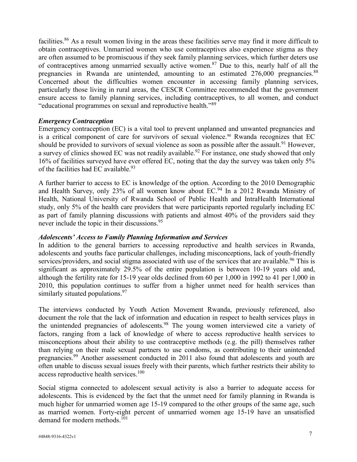facilities.<sup>86</sup> As a result women living in the areas these facilities serve may find it more difficult to obtain contraceptives. Unmarried women who use contraceptives also experience stigma as they are often assumed to be promiscuous if they seek family planning services, which further deters use of contraceptives among unmarried sexually active women.<sup>87</sup> Due to this, nearly half of all the pregnancies in Rwanda are unintended, amounting to an estimated 276,000 pregnancies.<sup>88</sup> Concerned about the difficulties women encounter in accessing family planning services, particularly those living in rural areas, the CESCR Committee recommended that the government ensure access to family planning services, including contraceptives, to all women, and conduct "educational programmes on sexual and reproductive health."<sup>89</sup>

#### *Emergency Contraception*

Emergency contraception (EC) is a vital tool to prevent unplanned and unwanted pregnancies and is a critical component of care for survivors of sexual violence.<sup>90</sup> Rwanda recognizes that EC should be provided to survivors of sexual violence as soon as possible after the assault.<sup>91</sup> However, a survey of clinics showed EC was not readily available.<sup>92</sup> For instance, one study showed that only 16% of facilities surveyed have ever offered EC, noting that the day the survey was taken only 5% of the facilities had EC available.<sup>93</sup>

A further barrier to access to EC is knowledge of the option. According to the 2010 Demographic and Health Survey, only 23% of all women know about EC.<sup>94</sup> In a 2012 Rwanda Ministry of Health, National University of Rwanda School of Public Health and IntraHealth International study, only 5% of the health care providers that were participants reported regularly including EC as part of family planning discussions with patients and almost 40% of the providers said they never include the topic in their discussions.<sup>95</sup>

#### *Adolescents' Access to Family Planning Information and Services*

In addition to the general barriers to accessing reproductive and health services in Rwanda, adolescents and youths face particular challenges, including misconceptions, lack of youth-friendly services/providers, and social stigma associated with use of the services that are available.<sup>96</sup> This is significant as approximately 29.5% of the entire population is between 10-19 years old and, although the fertility rate for 15-19 year olds declined from 60 per 1,000 in 1992 to 41 per 1,000 in 2010, this population continues to suffer from a higher unmet need for health services than similarly situated populations.<sup>97</sup>

The interviews conducted by Youth Action Movement Rwanda, previously referenced, also document the role that the lack of information and education in respect to health services plays in the unintended pregnancies of adolescents.<sup>98</sup> The young women interviewed cite a variety of factors, ranging from a lack of knowledge of where to access reproductive health services to misconceptions about their ability to use contraceptive methods (e.g. the pill) themselves rather than relying on their male sexual partners to use condoms, as contributing to their unintended pregnancies.<sup>99</sup> Another assessment conducted in 2011 also found that adolescents and youth are often unable to discuss sexual issues freely with their parents, which further restricts their ability to access reproductive health services.<sup>100</sup>

Social stigma connected to adolescent sexual activity is also a barrier to adequate access for adolescents. This is evidenced by the fact that the unmet need for family planning in Rwanda is much higher for unmarried women age 15-19 compared to the other groups of the same age, such as married women. Forty-eight percent of unmarried women age 15-19 have an unsatisfied demand for modern methods.<sup>101</sup>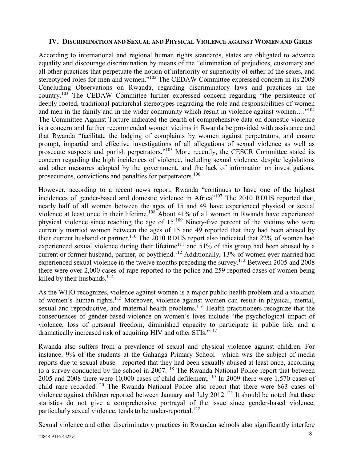#### **IV. DISCRIMINATION AND SEXUAL AND PHYSICAL VIOLENCE AGAINST WOMEN AND GIRLS**

According to international and regional human rights standards, states are obligated to advance equality and discourage discrimination by means of the "elimination of prejudices, customary and all other practices that perpetuate the notion of inferiority or superiority of either of the sexes, and stereotyped roles for men and women."<sup>102</sup> The CEDAW Committee expressed concern in its 2009 Concluding Observations on Rwanda, regarding discriminatory laws and practices in the country.<sup>103</sup> The CEDAW Committee further expressed concern regarding "the persistence of deeply rooted, traditional patriarchal stereotypes regarding the role and responsibilities of women and men in the family and in the wider community which result in violence against women...."<sup>104</sup> The Committee Against Torture indicated the dearth of comprehensive data on domestic violence is a concern and further recommended women victims in Rwanda be provided with assistance and that Rwanda "facilitate the lodging of complaints by women against perpetrators, and ensure prompt, impartial and effective investigations of all allegations of sexual violence as well as prosecute suspects and punish perpetrators."<sup>105</sup> More recently, the CESCR Committee stated its concern regarding the high incidences of violence, including sexual violence, despite legislations and other measures adopted by the government, and the lack of information on investigations, prosecutions, convictions and penalties for perpetrators.106

However, according to a recent news report, Rwanda "continues to have one of the highest incidences of gender-based and domestic violence in Africa"<sup>107</sup> The 2010 RDHS reported that, nearly half of all women between the ages of 15 and 49 have experienced physical or sexual violence at least once in their lifetime.<sup>108</sup> About 41% of all women in Rwanda have experienced physical violence since reaching the age of 15.<sup>109</sup> Ninety-five percent of the victims who were currently married women between the ages of 15 and 49 reported that they had been abused by their current husband or partner.<sup>110</sup> The 2010 RDHS report also indicated that 22% of women had experienced sexual violence during their lifetime<sup>111</sup> and 51% of this group had been abused by a current or former husband, partner, or boyfriend.<sup>112</sup> Additionally, 13% of women ever married had experienced sexual violence in the twelve months preceding the survey.<sup>113</sup> Between 2005 and 2008 there were over 2,000 cases of rape reported to the police and 259 reported cases of women being killed by their husbands.<sup>114</sup>

As the WHO recognizes, violence against women is a major public health problem and a violation of women's human rights.115 Moreover, violence against women can result in physical, mental, sexual and reproductive, and maternal health problems.<sup>116</sup> Health practitioners recognize that the consequences of gender-based violence on women's lives include "the psychological impact of violence, loss of personal freedom, diminished capacity to participate in public life, and a dramatically increased risk of acquiring HIV and other STIs."<sup>117</sup>

Rwanda also suffers from a prevalence of sexual and physical violence against children. For instance, 9% of the students at the Gahanga Primary School—which was the subject of media reports due to sexual abuse—reported that they had been sexually abused at least once, according to a survey conducted by the school in 2007.<sup>118</sup> The Rwanda National Police report that between 2005 and 2008 there were 10,000 cases of child defilement.<sup>119</sup> In 2009 there were 1,570 cases of child rape recorded.120 The Rwanda National Police also report that there were 863 cases of violence against children reported between January and July 2012.<sup>121</sup> It should be noted that these statistics do not give a comprehensive portrayal of the issue since gender-based violence, particularly sexual violence, tends to be under-reported.<sup>122</sup>

Sexual violence and other discriminatory practices in Rwandan schools also significantly interfere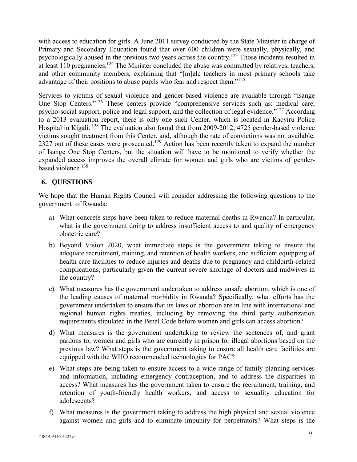with access to education for girls. A June 2011 survey conducted by the State Minister in charge of Primary and Secondary Education found that over 600 children were sexually, physically, and psychologically abused in the previous two years across the country.<sup>123</sup> Those incidents resulted in at least 110 pregnancies.<sup>124</sup> The Minister concluded the abuse was committed by relatives, teachers, and other community members, explaining that "[m]ale teachers in most primary schools take advantage of their positions to abuse pupils who fear and respect them."<sup>125</sup>

Services to victims of sexual violence and gender-based violence are available through "Isange One Stop Centers."<sup>126</sup> These centers provide "comprehensive services such as: medical care, psycho-social support, police and legal support, and the collection of legal evidence."<sup>127</sup> According to a 2013 evaluation report, there is only one such Center, which is located in Kacyiru Police Hospital in Kigali. <sup>128</sup> The evaluation also found that from 2009-2012, 4725 gender-based violence victims sought treatment from this Center, and, although the rate of convictions was not available, 2327 out of these cases were prosecuted.<sup>129</sup> Action has been recently taken to expand the number of Isange One Stop Centers, but the situation will have to be monitored to verify whether the expanded access improves the overall climate for women and girls who are victims of genderbased violence. 130

## **6. QUESTIONS**

We hope that the Human Rights Council will consider addressing the following questions to the government of Rwanda:

- a) What concrete steps have been taken to reduce maternal deaths in Rwanda? In particular, what is the government doing to address insufficient access to and quality of emergency obstetric care?
- b) Beyond Vision 2020, what immediate steps is the government taking to ensure the adequate recruitment, training, and retention of health workers, and sufficient equipping of health care facilities to reduce injuries and deaths due to pregnancy and childbirth-related complications, particularly given the current severe shortage of doctors and midwives in the country?
- c) What measures has the government undertaken to address unsafe abortion, which is one of the leading causes of maternal morbidity in Rwanda? Specifically, what efforts has the government undertaken to ensure that its laws on abortion are in line with international and regional human rights treaties, including by removing the third party authorization requirements stipulated in the Penal Code before women and girls can access abortion?
- d) What measures is the government undertaking to review the sentences of, and grant pardons to, women and girls who are currently in prison for illegal abortions based on the previous law? What steps is the government taking to ensure all health care facilities are equipped with the WHO recommended technologies for PAC?
- e) What steps are being taken to ensure access to a wide range of family planning services and information, including emergency contraception, and to address the disparities in access? What measures has the government taken to ensure the recruitment, training, and retention of youth-friendly health workers, and access to sexuality education for adolescents?
- f) What measures is the government taking to address the high physical and sexual violence against women and girls and to eliminate impunity for perpetrators? What steps is the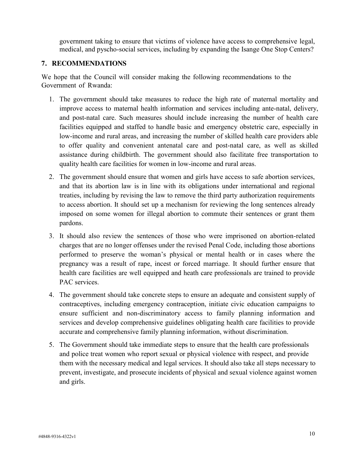government taking to ensure that victims of violence have access to comprehensive legal, medical, and pyscho-social services, including by expanding the Isange One Stop Centers?

## **7. RECOMMENDATIONS**

We hope that the Council will consider making the following recommendations to the Government of Rwanda:

- 1. The government should take measures to reduce the high rate of maternal mortality and improve access to maternal health information and services including ante-natal, delivery, and post-natal care. Such measures should include increasing the number of health care facilities equipped and staffed to handle basic and emergency obstetric care, especially in low-income and rural areas, and increasing the number of skilled health care providers able to offer quality and convenient antenatal care and post-natal care, as well as skilled assistance during childbirth. The government should also facilitate free transportation to quality health care facilities for women in low-income and rural areas.
- 2. The government should ensure that women and girls have access to safe abortion services, and that its abortion law is in line with its obligations under international and regional treaties, including by revising the law to remove the third party authorization requirements to access abortion. It should set up a mechanism for reviewing the long sentences already imposed on some women for illegal abortion to commute their sentences or grant them pardons.
- 3. It should also review the sentences of those who were imprisoned on abortion-related charges that are no longer offenses under the revised Penal Code, including those abortions performed to preserve the woman's physical or mental health or in cases where the pregnancy was a result of rape, incest or forced marriage. It should further ensure that health care facilities are well equipped and heath care professionals are trained to provide PAC services.
- 4. The government should take concrete steps to ensure an adequate and consistent supply of contraceptives, including emergency contraception, initiate civic education campaigns to ensure sufficient and non-discriminatory access to family planning information and services and develop comprehensive guidelines obligating health care facilities to provide accurate and comprehensive family planning information, without discrimination.
- 5. The Government should take immediate steps to ensure that the health care professionals and police treat women who report sexual or physical violence with respect, and provide them with the necessary medical and legal services. It should also take all steps necessary to prevent, investigate, and prosecute incidents of physical and sexual violence against women and girls.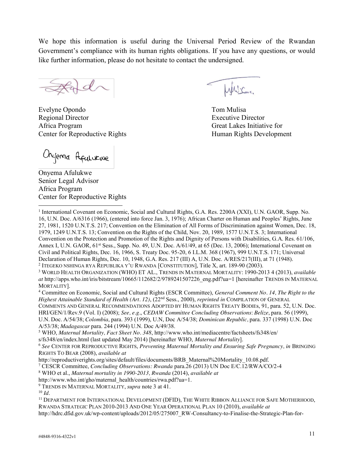We hope this information is useful during the Universal Period Review of the Rwandan Government's compliance with its human rights obligations. If you have any questions, or would like further information, please do not hesitate to contact the undersigned.

 $\mathcal{A}$ 

Evelyne Opondo Tom Mulisa Regional Director Executive Director Africa Program Great Lakes Initiative for Center for Reproductive Rights **Human** Rights Development

Onyema Afulurwe

Onyema Afulukwe Senior Legal Advisor Africa Program Center for Reproductive Rights

William

l <sup>1</sup> International Covenant on Economic, Social and Cultural Rights, G.A. Res. 2200A (XXI), U.N. GAOR, Supp. No. 16, U.N. Doc. A/6316 (1966), (entered into force Jan. 3, 1976); African Charter on Human and Peoples' Rights, June 27, 1981, 1520 U.N.T.S. 217; Convention on the Elimination of All Forms of Discrimination against Women, Dec. 18, 1979, 1249 U.N.T.S. 13; Convention on the Rights of the Child, Nov. 20, 1989, 1577 U.N.T.S. 3; International Convention on the Protection and Promotion of the Rights and Dignity of Persons with Disabilities, G.A. Res. 61/106, Annex I, U.N. GAOR, 61<sup>st</sup> Sess., Supp. No. 49, U.N. Doc. A/61/49, at 65 (Dec. 13, 2006); International Covenant on Civil and Political Rights, Dec. 16, 1966, S. Treaty Doc. 95-20, 6 I.L.M. 368 (1967), 999 U.N.T.S. 171; Universal Declaration of Human Rights, Dec. 10, 1948, G.A. Res. 217 (III) A, U.N. Doc. A/RES/217(III), at 71 (1948). <sup>2</sup> ITEGEKO NSHINGA RYA REPUBLIKA Y'U RWANDA [CONSTITUTION], Title X, art. 189-90 (2003).

<sup>4</sup> Committee on Economic, Social and Cultural Rights (ESCR Committee), *General Comment No. 14, The Right to the Highest Attainable Standard of Health (Art. 12)*, (22nd Sess., 2000), *reprinted in* COMPILATION OF GENERAL COMMENTS AND GENERAL RECOMMENDATIONS ADOPTED BY HUMAN RIGHTS TREATY BODIEs, 91, para. 52, U.N. Doc. HRI/GEN/1/Rev.9 (Vol. I) (2008); *See, e.g.*, *CEDAW Committee Concluding Observations*: *Belize*, para. 56 (1999), U.N. Doc. A/54/38; *Colombia*, para. 393 (1999), U.N, Doc A/54/38; *Dominican Republic,* para. 337 (1998) U.N. Doc

A/53/38; *Madagascar* para. 244 (1994) U.N. Doc A/49/38.

<sup>5</sup> WHO, *Maternal Mortality, Fact Sheet No. 348*, http://www.who.int/mediacentre/factsheets/fs348/en/

s/fs348/en/index.html (last updated May 2014) [hereinafter WHO, *Maternal Mortality*].

<sup>6</sup> *See* CENTER FOR REPRODUCTIVE RIGHTS, *Preventing Maternal Mortality and Ensuring Safe Pregnancy, in* BRINGING RIGHTS TO BEAR (2008), *available at* 

<sup>7</sup> CESCR Committee, *Concluding Observations: Rwanda* para.26 (2013) UN Doc E/C.12/RWA/CO/2-4

<sup>8</sup> WHO et al., *Maternal mortality in 1990-2013, Rwanda* (2014), *available at*

http://www.who.int/gho/maternal\_health/countries/rwa.pdf?ua=1.

<sup>9</sup> TRENDS IN MATERNAL MORTALITY, *supra* note 3 at 41.

 $10 \, \text{Id}$ 

<sup>11</sup> DEPARTMENT FOR INTERNATIONAL DEVELOPMENT (DFID), THE WHITE RIBBON ALLIANCE FOR SAFE MOTHERHOOD, RWANDA STRATEGIC PLAN 2010-2013 AND ONE YEAR OPERATIONAL PLAN 10 (2010), *available at*  http://hdrc.dfid.gov.uk/wp-content/uploads/2012/05/275007\_RW-Consultancy-to-Finalise-the-Strategic-Plan-for-

<sup>3</sup> WORLD HEALTH ORGANIZATION (WHO) ET AL., TRENDS IN MATERNAL MORTALITY: 1990-2013 4 (2013), *available at* http://apps.who.int/iris/bitstream/10665/112682/2/9789241507226\_eng.pdf?ua=1 [hereinafter TRENDS IN MATERNAL MORTALITY].

http://reproductiverights.org/sites/default/files/documents/BRB\_Maternal%20Mortality\_10.08.pdf.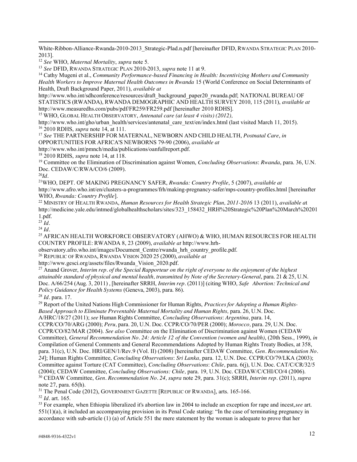White-Ribbon-Alliance-Rwanda-2010-2013 Strategic-Plad.n.pdf [hereinafter DFID, RWANDA STRATEGIC PLAN 2010-2013].

<sup>12</sup> *See* WHO, *Maternal Mortality*, *supra* note 5.

<sup>13</sup> *See* DFID, RWANDA STRATEGIC PLAN 2010-2013, *supra* note 11 at 9.

<sup>14</sup> Cathy Mugeni et al., *Community Performance-based Financing in Health: Incentivizing Mothers and Community Health Workers to Improve Maternal Health Outcomes in Rwanda* 15 (World Conference on Social Determinants of Health, Draft Background Paper, 2011), *available at* 

http://www.who.int/sdhconference/resources/draft\_background\_paper20\_rwanda.pdf; NATIONAL BUREAU OF STATISTICS (RWANDA), RWANDA DEMOGRAPHIC AND HEALTH SURVEY 2010, 115 (2011), *available at* http://www.measuredhs.com/pubs/pdf/FR259/FR259.pdf [hereinafter 2010 RDHS].

<sup>15</sup> WHO, GLOBAL HEALTH OBSERVATORY, *Antenatal care (at least 4 visits) (2012),* 

http://www.who.int/gho/urban\_health/services/antenatal\_care\_text/en/index.html (last visited March 11, 2015). <sup>16</sup> 2010 RDHS, *supra* note 14, at 111.

<sup>17</sup> *See* THE PARTNERSHIP FOR MATERNAL, NEWBORN AND CHILD HEALTH, *Postnatal Care*, *in*  OPPORTUNITIES FOR AFRICA'S NEWBORNS 79-90 (2006), *available at* 

http://www.who.int/pmnch/media/publications/oanfullreport.pdf.

<sup>18</sup> 2010 RDHS, *supra* note 14, at 118.

<sup>19</sup> Committee on the Elimination of Discrimination against Women, *Concluding Observations*: *Rwanda*, para. 36, U.N. Doc. CEDAW/C/RWA/CO/6 (2009).

 $^{20}Id$ .

l

21WHO, DEPT. OF MAKING PREGNANCY SAFER, *Rwanda: Country Profile*, 5 (2007), *available at*  http://www.afro.who.int/en/clusters-a-programmes/frh/making-pregnancy-safer/mps-country-profiles.html [hereinafter WHO, *Rwanda: Country Profile*].

<sup>22</sup> MINISTRY OF HEALTH RWANDA, *Human Resources for Health Strategic Plan, 2011-2016* 13 (2011), *available a*t http://medicine.yale.edu/intmed/globalhealthscholars/sites/323\_158432\_HRH%20Strategic%20Plan%20March%20201 1.pdf.

 $^{23}$ *Id.* 

<sup>24</sup> *Id.*

<sup>25</sup> AFRICAN HEALTH WORKFORCE OBSERVATORY (AHWO) & WHO, HUMAN RESOURCES FOR HEALTH COUNTRY PROFILE: RWANDA 8, 23 (2009), *available at* http://www.hrh-

observatory.afro.who.int/images/Document\_Centre/rwanda\_hrh\_country\_profile.pdf.

<sup>26</sup> REPUBLIC OF RWANDA, RWANDA VISION 2020 25 (2000), *available at*

http://www.gesci.org/assets/files/Rwanda\_Vision\_2020.pdf.

<sup>27</sup> Anand Grover, *Interim rep. of the Special Rapporteur on the right of everyone to the enjoyment of the highest attainable standard of physical and mental health, transmitted by Note of the Secretary-General*, para. 21 & 25, U.N. Doc. A/66/254 (Aug. 3, 2011) , [hereinafter SRRH, *Interim rep.* (2011)] (citing WHO, *Safe Abortion: Technical and Policy Guidance for Health Systems* (Geneva, 2003), para. 86).

<sup>28</sup> *Id.* para. 17.

<sup>29</sup> Report of the United Nations High Commissioner for Human Rights, *Practices for Adopting a Human Rights-Based Approach to Eliminate Preventable Maternal Mortality and Human Rights,* para. 26, U.N. Doc. A/HRC/18/27 (2011); *see* Human Rights Committee, *Concluding Observations*: *Argentina,* para. 14, CCPR/CO/70/ARG (2000); *Peru,* para. 20, U.N. Doc. CCPR/CO/70/PER (2000); *Morocco,* para. 29, U.N. Doc. CCPR/CO/82/MAR (2004). *See also* Committee on the Elimination of Discrimination against Women (CEDAW Committee), *General Recommendation No. 24: Article 12 of the Convention (women and health)*, (20th Sess., 1999), *in*  Compilation of General Comments and General Recommendations Adopted by Human Rights Treaty Bodies, at 358, para. 31(c), U.N. Doc. HRI/GEN/1/Rev.9 (Vol. II) (2008) [hereinafter CEDAW Committee, *Gen. Recommendation No. 24*]; Human Rights Committee, *Concluding Observations*: *Sri Lanka,* para. 12, U.N. Doc. CCPR/CO/79/LKA (2003); Committee against Torture (CAT Committee), *Concluding Observations*: *Chile,* para. 6(j), U.N. Doc. CAT/C/CR/32/5 (2004); CEDAW Committee, *Concluding Observations: Chile,* para. 19, U.N. Doc. CEDAW/C/CHI/CO/4 (2006). <sup>30</sup> CEDAW Committee, *Gen. Recommendation No. 24, supra* note 29, para. 31(c); SRRH, *Interim rep.* (2011), *supra* note 27, para. 65(h).

<sup>31</sup> The Penal Code (2012), GOVERNMENT GAZETTE [REPUBLIC OF RWANDA], arts. 165-166.

<sup>32</sup> *Id.* art. 165.

<sup>33</sup> For example, when Ethiopia liberalized it's abortion law in 2004 to include an exception for rape and incest,*see* art. 551(1)(a), it included an accompanying provision in its Penal Code stating: "In the case of terminating pregnancy in accordance with sub-article (1) (a) of Article 551 the mere statement by the woman is adequate to prove that her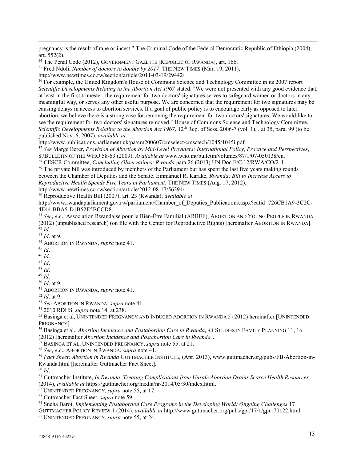pregnancy is the result of rape or incest." The Criminal Code of the Federal Democratic Republic of Ethiopia (2004), art. 552(2).

<sup>36</sup> For example, the United Kingdom's House of Commons Science and Technology Committee in its 2007 report *Scientific Developments Relating to the Abortion Act 1967* stated: "We were not presented with any good evidence that, at least in the first trimester, the requirement for two doctors' signatures serves to safeguard women or doctors in any meaningful way, or serves any other useful purpose. We are concerned that the requirement for two signatures may be causing delays in access to abortion services. If a goal of public policy is to encourage early as opposed to later abortion, we believe there is a strong case for removing the requirement for two doctors' signatures. We would like to see the requirement for two doctors' signatures removed." House of Commons Science and Technology Committee, *Scientific Developments Relating to the Abortion Act 1967*, 12<sup>th</sup> Rep. of Sess. 2006-7 (vol. 1), , at 35, para. 99 (to be published Nov. 6, 2007), *available at* 

http://www.publications.parliament.uk/pa/cm200607/cmselect/cmsctech/1045/1045i.pdf.

<sup>37</sup> *See* Marge Berer, *Provision of Abortion by Mid-Level Providers: International Policy, Practice and Perspectives*, 87BULLETIN OF THE WHO 58-63 (2009). *Available at* www.who.int/bulletin/volumes/87/1/07-050138/en.

<sup>38</sup> CESCR Committee, *Concluding Observations: Rwanda* para.26 (2013) UN Doc E/C.12/RWA/CO/2-4.

<sup>39</sup> The private bill was introduced by members of the Parliament but has spent the last five years making rounds between the Chamber of Deputies and the Senate. Emmanuel R. Karake, *Rwanda: Bill to Increase Access to Reproductive Health Spends Five Years in Parliament*, THE NEW TIMES (Aug. 17, 2012), http://www.newtimes.co.rw/section/article/2012-08-17/56294/.

<sup>40</sup> Reproductive Health Bill (2007), art. 23 (Rwanda), *available at* 

http://www.rwandaparliament.gov.rw/parliament/Chamber\_of\_Deputies\_Publications.aspx?catid=726CB1A9-3C2C-4E44-BBA5-D1B52E5BCCD8.

<sup>41</sup> *See, e.g.,* Association Rwandaise pour le Bien-Être Familial (ARBEF), ABORTION AND YOUNG PEOPLE IN RWANDA (2012) (unpublished research) (on file with the Center for Reproductive Rights) [hereinafter ABORTION IN RWANDA]. <sup>42</sup> *Id*. 43 *Id*. at 9.

- 
- <sup>44</sup> ABORTION IN RWANDA, *supra* note 41. 45 *Id*. 46 *Id*.
- 

l

- 
- 

47 *Id*. 48 *Id*. 49 *Id*. 50 *Id*. at 9.

<sup>51</sup> ABORTION IN RWANDA, *supra* note 41.

<sup>52</sup> *Id.* at 9.

<sup>53</sup> *See* ABORTION IN RWANDA, *supra* note 41*.*

<sup>55</sup> Basinga et al, UNINTENDED PREGNANCY AND INDUCED ABORTION IN RWANDA 5 (2012) hereinafter [UNINTENDED PREGNANCY].

<sup>56</sup> Basinga et al., *Abortion Incidence and Postabortion Care in Rwanda, 43* STUDIES IN FAMILY PLANNING 11, 16 (2012) [hereinafter *Abortion Incidence and Postabortion Care in Rwanda*].

<sup>57</sup> BASINGA ET AL, UNINTENDED PREGNANCY, *supra* note 55*,* at 21.

<sup>58</sup> *See, e.g.*, ABORTION IN RWANDA, *supra* note 41.

<sup>59</sup> *Fact Sheet: Abortion in Rwanda* GUTTMACHER INSTITUTE, (Apr. 2013), www.guttmacher.org/pubs/FB-Abortion-in-Rwanda.html [hereinafter Guttmacher Fact Sheet].

<sup>60</sup> *Id*. 61 Guttmacher Institute, *In Rwanda, Treating Complications from Unsafe Abortion Drains Scarce Health Resources*  (2014), *available at* https://guttmacher.org/media/nr/2014/05/30/index.html.

<sup>62</sup> UNINTENDED PREGNANCY, *supra* note 55*,* at 17.

<sup>64</sup> Sneha Barot, *Implementing Postabortion Care Programs in the Developing World: Ongoing Challenges* 17 GUTTMACHER POLICY REVIEW 1 (2014), *available at* http://www.guttmacher.org/pubs/gpr/17/1/gpr170122.html.

<sup>65</sup> UNINTENDED PREGNANCY, *supra* note 55*,* at 24.

<sup>&</sup>lt;sup>34</sup> The Penal Code (2012), GOVERNMENT GAZETTE [REPUBLIC OF RWANDA], art. 166.

<sup>35</sup> Fred Ndoli, *Number of doctors to double by 2017,* THE NEW TIMES (Mar. 19, 2011),

http://www.newtimes.co.rw/section/article/2011-03-19/29442/.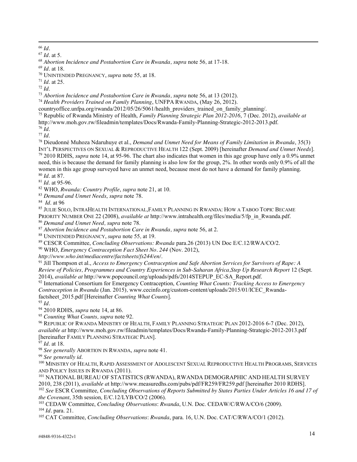l <sup>66</sup> *Id.* 

<sup>67</sup> *Id.* at 5.

<sup>68</sup> *Abortion Incidence and Postabortion Care in Rwanda, supra* note 56*,* at 17-18.

<sup>69</sup> *Id.* at 18. 70 UNINTENDED PREGNANCY, *supra* note 55*,* at 18.

<sup>71</sup> *Id*. at 25.

<sup>72</sup> *Id*.

<sup>73</sup> *Abortion Incidence and Postabortion Care in Rwanda, supra* note 56, at 13 (2012).

<sup>74</sup> *Health Providers Trained on Family Planning*, UNFPA RWANDA, (May 26, 2012).

countryoffice.unfpa.org/rwanda/2012/05/26/5061/health\_providers\_trained\_on\_family\_planning/.

<sup>75</sup> Republic of Rwanda Ministry of Health, *Family Planning Strategic Plan 2012-2016*, 7 (Dec. 2012), *available at*

<sup>76</sup> Id.<br><sup>77</sup> Id.<br><sup>78</sup> Dieudonné Muhoza Ndaruhuye et al., *Demand and Unmet Need for Means of Family Limitation in Rwanda, 35(3)* INT'L PERSPECTIVES ON SEXUAL & REPRODUCTIVE HEALTH 122 (Sept. 2009) [hereinafter *Demand and Unmet Needs*]. <sup>79</sup> 2010 RDHS, *supra* note 14, at 95-96. The chart also indicates that women in this age group have only a 0.9% unmet need, this is because the demand for family planning is also low for the group, 2%. In other words only 0.9% of all the women in this age group surveyed have an unmet need, because most do not have a demand for family planning. <sup>80</sup> *Id*. at 87.

<sup>81</sup> *Id*. at 95-96.

<sup>82</sup> WHO, *Rwanda: Country Profile*, *supra* note 21, at 10.

<sup>83</sup> *Demand and Unmet Needs*, *supra* note 78.

<sup>84</sup> *Id*. at 96

<sup>85</sup> JULIE SOLO, INTRAHEALTH INTERNATIONAL,FAMILY PLANNING IN RWANDA: HOW A TABOO TOPIC BECAME PRIORITY NUMBER ONE 22 (2008), *available at* http://www.intrahealth.org/files/media/5/fp\_in\_Rwanda.pdf.

<sup>86</sup> *Demand and Unmet Need, supra* note 78.

<sup>87</sup> *Abortion Incidence and Postabortion Care in Rwanda, supra* note 56, at 2.

<sup>88</sup> UNINTENDED PREGNANCY, *supra* note 55*,* at 19.

<sup>89</sup> CESCR Committee, *Concluding Observations: Rwanda* para.26 (2013) UN Doc E/C.12/RWA/CO/2.

<sup>90</sup> WHO, *Emergency Contraception Fact Sheet No. 244* (Nov. 2012),

*http://www.who.int/mediacentre/factsheets/fs244/en/*.

<sup>91</sup> Jill Thompson et al., *Access to Emergency Contraception and Safe Abortion Services for Survivors of Rape: A Review of Policies, Programmes and Country Experiences in Sub-Saharan Africa,Step Up Research Report* 12 (Sept. 2014), *available at* http://www.popcouncil.org/uploads/pdfs/2014STEPUP\_EC-SA\_Report.pdf.

<sup>92</sup> International Consortium for Emergency Contraception, *Counting What Counts: Tracking Access to Emergency Contraception in Rwanda* (Jan. 2015)*,* www.cecinfo.org/custom-content/uploads/2015/01/ICEC\_Rwandafactsheet\_2015.pdf [Hereinafter *Counting What Counts*].

 $^{93}$  *Id.* <sup>-64</sup> 2010 RDHS, *supra* note 14, at 86.

<sup>95</sup> Counting What Counts, supra note 92.

<sup>96</sup> REPUBLIC OF RWANDA MINISTRY OF HEALTH, FAMILY PLANNING STRATEGIC PLAN 2012-2016 6-7 (Dec. 2012), *available at* http://www.moh.gov.rw/fileadmin/templates/Docs/Rwanda-Family-Planning-Strategic-2012-2013.pdf [hereinafter FAMILY PLANNING STRATEGIC PLAN].

<sup>97</sup> *Id*. at 18.

<sup>98</sup> *See generally* ABORTION IN RWANDA, *supra* note 41.

<sup>99</sup> *See generally id*.

<sup>100</sup> MINISTRY OF HEALTH, RAPID ASSESSMENT OF ADOLESCENT SEXUAL REPRODUCTIVE HEALTH PROGRAMS, SERVICES AND POLICY ISSUES IN RWANDA (2011).

<sup>101</sup> NATIONAL BUREAU OF STATISTICS (RWANDA), RWANDA DEMOGRAPHIC AND HEALTH SURVEY 2010, 238 (2011), available at http://www.measuredhs.com/pubs/pdf/FR259/FR259.pdf [hereinafter 2010 RDHS].<br><sup>102</sup> See ESCR Committee, Concluding Observations of Reports Submitted by States Parties Under Articles 16 and 17 o

*the Covenant*, 35th session, E/C.12/LYB/CO/2 (2006).

<sup>103</sup> CEDAW Committee, *Concluding Observations*: *Rwanda*, U.N. Doc. CEDAW/C/RWA/CO/6 (2009). <sup>104</sup> *Id.* para. 21.

<sup>105</sup> CAT Committee, *Concluding Observations*: *Rwanda*, para. 16, U.N. Doc. CAT/C/RWA/CO/1 (2012).